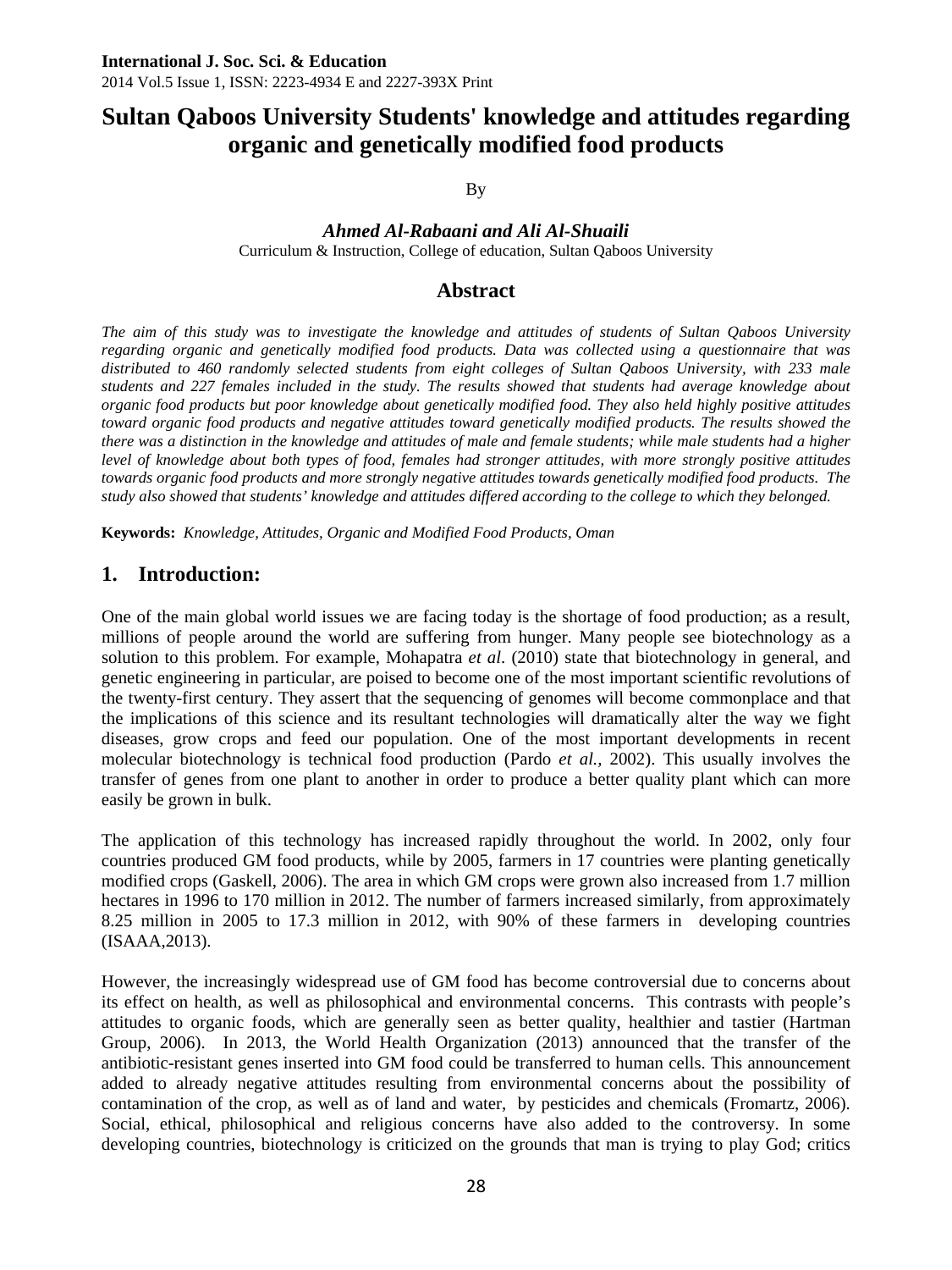# **Sultan Qaboos University Students' knowledge and attitudes regarding organic and genetically modified food products**

By

# *Ahmed Al-Rabaani and Ali Al-Shuaili*

Curriculum & Instruction, College of education, Sultan Qaboos University

# **Abstract**

*The aim of this study was to investigate the knowledge and attitudes of students of Sultan Qaboos University regarding organic and genetically modified food products. Data was collected using a questionnaire that was distributed to 460 randomly selected students from eight colleges of Sultan Qaboos University, with 233 male students and 227 females included in the study. The results showed that students had average knowledge about organic food products but poor knowledge about genetically modified food. They also held highly positive attitudes toward organic food products and negative attitudes toward genetically modified products. The results showed the there was a distinction in the knowledge and attitudes of male and female students; while male students had a higher level of knowledge about both types of food, females had stronger attitudes, with more strongly positive attitudes towards organic food products and more strongly negative attitudes towards genetically modified food products. The study also showed that students' knowledge and attitudes differed according to the college to which they belonged.* 

**Keywords:** *Knowledge, Attitudes, Organic and Modified Food Products, Oman* 

# **1. Introduction:**

One of the main global world issues we are facing today is the shortage of food production; as a result, millions of people around the world are suffering from hunger. Many people see biotechnology as a solution to this problem. For example, Mohapatra *et al*. (2010) state that biotechnology in general, and genetic engineering in particular, are poised to become one of the most important scientific revolutions of the twenty-first century. They assert that the sequencing of genomes will become commonplace and that the implications of this science and its resultant technologies will dramatically alter the way we fight diseases, grow crops and feed our population. One of the most important developments in recent molecular biotechnology is technical food production (Pardo *et al.,* 2002). This usually involves the transfer of genes from one plant to another in order to produce a better quality plant which can more easily be grown in bulk.

The application of this technology has increased rapidly throughout the world. In 2002, only four countries produced GM food products, while by 2005, farmers in 17 countries were planting genetically modified crops (Gaskell, 2006). The area in which GM crops were grown also increased from 1.7 million hectares in 1996 to 170 million in 2012. The number of farmers increased similarly, from approximately 8.25 million in 2005 to 17.3 million in 2012, with 90% of these farmers in developing countries (ISAAA,2013).

However, the increasingly widespread use of GM food has become controversial due to concerns about its effect on health, as well as philosophical and environmental concerns. This contrasts with people's attitudes to organic foods, which are generally seen as better quality, healthier and tastier (Hartman Group, 2006). In 2013, the World Health Organization (2013) announced that the transfer of the antibiotic-resistant genes inserted into GM food could be transferred to human cells. This announcement added to already negative attitudes resulting from environmental concerns about the possibility of contamination of the crop, as well as of land and water, by pesticides and chemicals (Fromartz, 2006). Social, ethical, philosophical and religious concerns have also added to the controversy. In some developing countries, biotechnology is criticized on the grounds that man is trying to play God; critics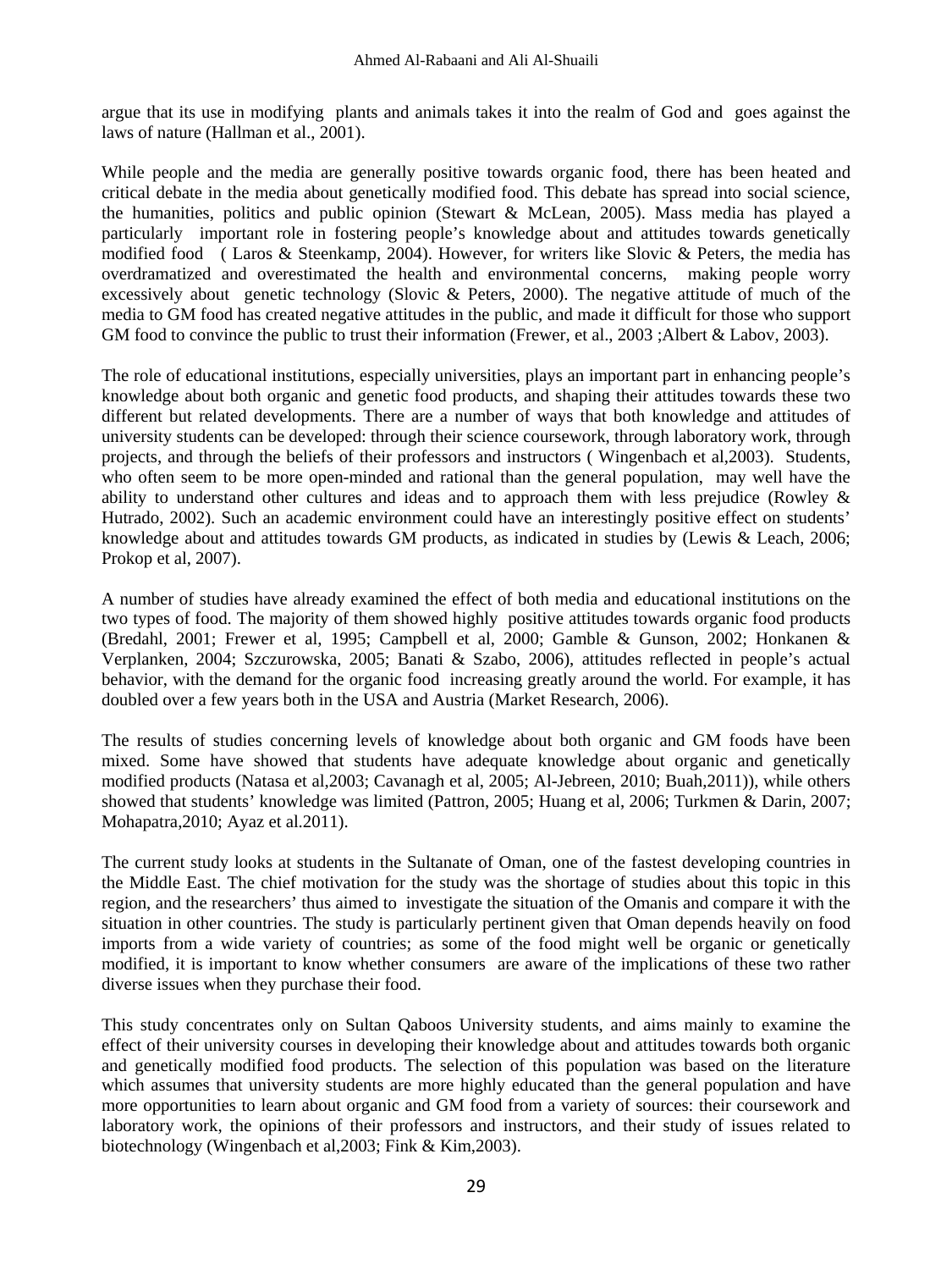argue that its use in modifying plants and animals takes it into the realm of God and goes against the laws of nature (Hallman et al., 2001).

While people and the media are generally positive towards organic food, there has been heated and critical debate in the media about genetically modified food. This debate has spread into social science, the humanities, politics and public opinion (Stewart & McLean, 2005). Mass media has played a particularly important role in fostering people's knowledge about and attitudes towards genetically modified food ( Laros & Steenkamp, 2004). However, for writers like Slovic & Peters, the media has overdramatized and overestimated the health and environmental concerns, making people worry excessively about genetic technology (Slovic & Peters, 2000). The negative attitude of much of the media to GM food has created negative attitudes in the public, and made it difficult for those who support GM food to convince the public to trust their information (Frewer, et al., 2003 ;Albert & Labov, 2003).

The role of educational institutions, especially universities, plays an important part in enhancing people's knowledge about both organic and genetic food products, and shaping their attitudes towards these two different but related developments. There are a number of ways that both knowledge and attitudes of university students can be developed: through their science coursework, through laboratory work, through projects, and through the beliefs of their professors and instructors ( Wingenbach et al,2003). Students, who often seem to be more open-minded and rational than the general population, may well have the ability to understand other cultures and ideas and to approach them with less prejudice (Rowley & Hutrado, 2002). Such an academic environment could have an interestingly positive effect on students' knowledge about and attitudes towards GM products, as indicated in studies by (Lewis & Leach, 2006; Prokop et al, 2007).

A number of studies have already examined the effect of both media and educational institutions on the two types of food. The majority of them showed highly positive attitudes towards organic food products (Bredahl, 2001; Frewer et al, 1995; Campbell et al, 2000; Gamble & Gunson, 2002; Honkanen & Verplanken, 2004; Szczurowska, 2005; Banati & Szabo, 2006), attitudes reflected in people's actual behavior, with the demand for the organic food increasing greatly around the world. For example, it has doubled over a few years both in the USA and Austria (Market Research, 2006).

The results of studies concerning levels of knowledge about both organic and GM foods have been mixed. Some have showed that students have adequate knowledge about organic and genetically modified products (Natasa et al,2003; Cavanagh et al, 2005; Al-Jebreen, 2010; Buah,2011)), while others showed that students' knowledge was limited (Pattron, 2005; Huang et al, 2006; Turkmen & Darin, 2007; Mohapatra,2010; Ayaz et al.2011).

The current study looks at students in the Sultanate of Oman, one of the fastest developing countries in the Middle East. The chief motivation for the study was the shortage of studies about this topic in this region, and the researchers' thus aimed to investigate the situation of the Omanis and compare it with the situation in other countries. The study is particularly pertinent given that Oman depends heavily on food imports from a wide variety of countries; as some of the food might well be organic or genetically modified, it is important to know whether consumers are aware of the implications of these two rather diverse issues when they purchase their food.

This study concentrates only on Sultan Qaboos University students, and aims mainly to examine the effect of their university courses in developing their knowledge about and attitudes towards both organic and genetically modified food products. The selection of this population was based on the literature which assumes that university students are more highly educated than the general population and have more opportunities to learn about organic and GM food from a variety of sources: their coursework and laboratory work, the opinions of their professors and instructors, and their study of issues related to biotechnology (Wingenbach et al,2003; Fink & Kim,2003).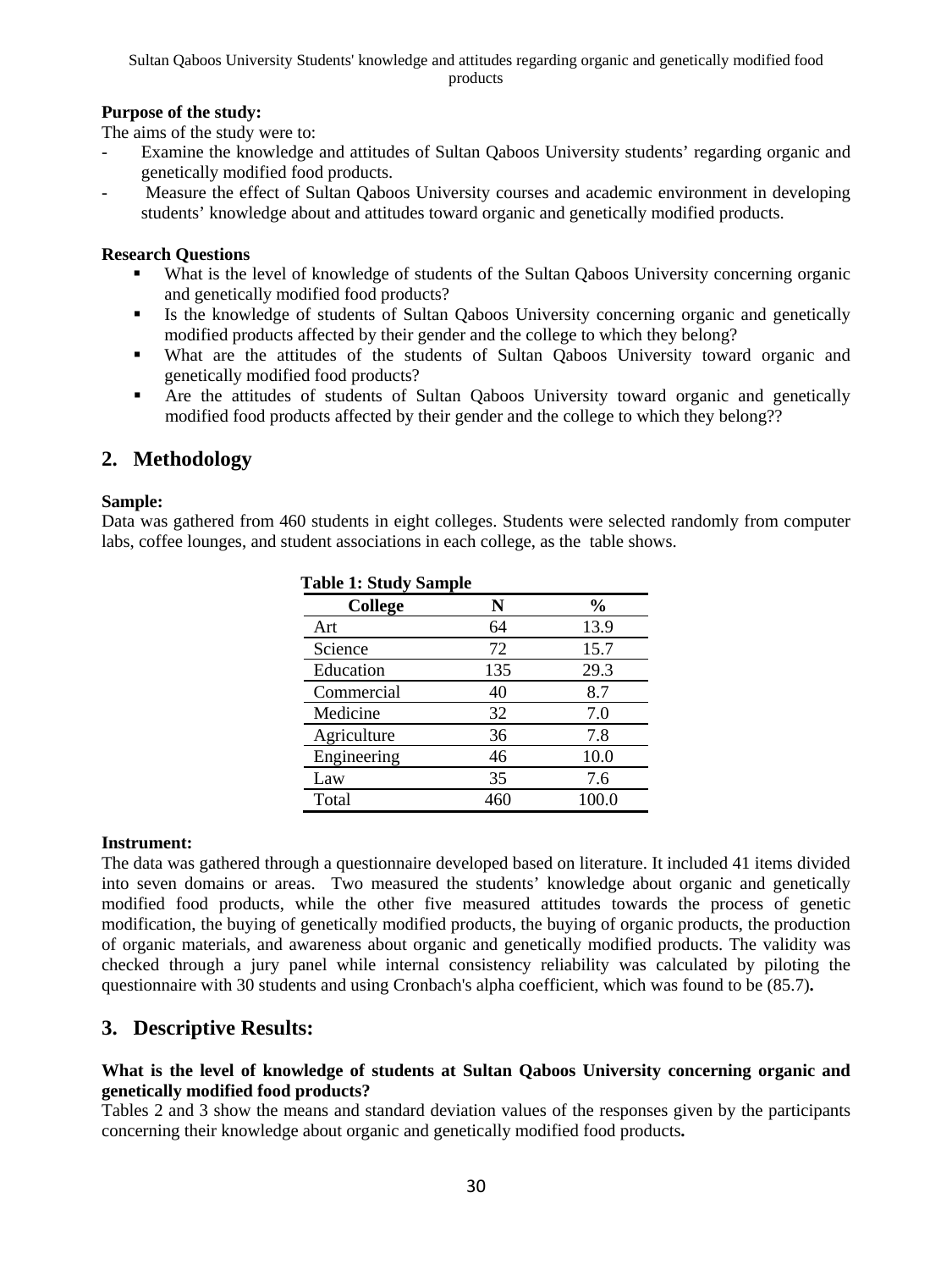Sultan Qaboos University Students' knowledge and attitudes regarding organic and genetically modified food products

### **Purpose of the study:**

The aims of the study were to:

- Examine the knowledge and attitudes of Sultan Qaboos University students' regarding organic and genetically modified food products.
- Measure the effect of Sultan Qaboos University courses and academic environment in developing students' knowledge about and attitudes toward organic and genetically modified products.

#### **Research Questions**

- What is the level of knowledge of students of the Sultan Qaboos University concerning organic and genetically modified food products?
- Is the knowledge of students of Sultan Qaboos University concerning organic and genetically modified products affected by their gender and the college to which they belong?
- What are the attitudes of the students of Sultan Qaboos University toward organic and genetically modified food products?
- Are the attitudes of students of Sultan Qaboos University toward organic and genetically modified food products affected by their gender and the college to which they belong??

# **2. Methodology**

### **Sample:**

Data was gathered from 460 students in eight colleges. Students were selected randomly from computer labs, coffee lounges, and student associations in each college, as the table shows.

 **Table 1: Study Sample** 

| Table 1: Study Sample |     |               |  |  |  |  |
|-----------------------|-----|---------------|--|--|--|--|
| College               | N   | $\frac{0}{0}$ |  |  |  |  |
| Art                   | 64  | 13.9          |  |  |  |  |
| Science               | 72  | 15.7          |  |  |  |  |
| Education             | 135 | 29.3          |  |  |  |  |
| Commercial            | 40  | 8.7           |  |  |  |  |
| Medicine              | 32  | 7.0           |  |  |  |  |
| Agriculture           | 36  | 7.8           |  |  |  |  |
| Engineering           | 46  | 10.0          |  |  |  |  |
| Law                   | 35  | 7.6           |  |  |  |  |
| Total                 | 460 | 100.0         |  |  |  |  |

#### **Instrument:**

The data was gathered through a questionnaire developed based on literature. It included 41 items divided into seven domains or areas. Two measured the students' knowledge about organic and genetically modified food products, while the other five measured attitudes towards the process of genetic modification, the buying of genetically modified products, the buying of organic products, the production of organic materials, and awareness about organic and genetically modified products. The validity was checked through a jury panel while internal consistency reliability was calculated by piloting the questionnaire with 30 students and using Cronbach's alpha coefficient, which was found to be (85.7)**.**

# **3. Descriptive Results:**

### **What is the level of knowledge of students at Sultan Qaboos University concerning organic and genetically modified food products?**

Tables 2 and 3 show the means and standard deviation values of the responses given by the participants concerning their knowledge about organic and genetically modified food products**.**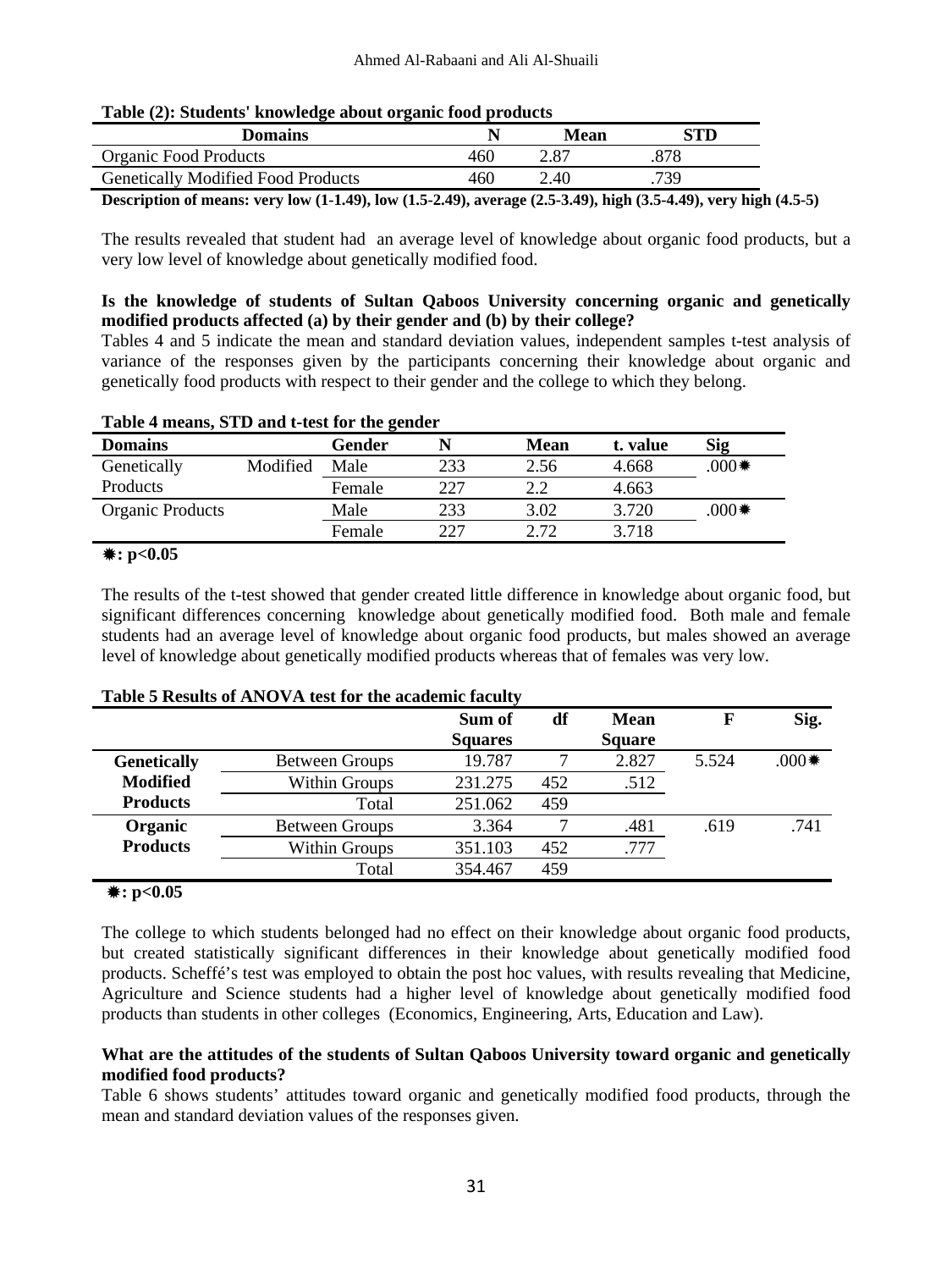| <b>Domains</b>                                                                                                  |     | Mean | STD- |  |
|-----------------------------------------------------------------------------------------------------------------|-----|------|------|--|
| Organic Food Products                                                                                           | 460 | 2.87 |      |  |
| <b>Genetically Modified Food Products</b>                                                                       | 460 | 2.40 | 739  |  |
| Description of means: very low (1-1.49), low (1.5-2.49), average (2.5-3.49), high (3.5-4.49), very high (4.5-5) |     |      |      |  |

#### **Table (2): Students' knowledge about organic food products**

The results revealed that student had an average level of knowledge about organic food products, but a

very low level of knowledge about genetically modified food.

### **Is the knowledge of students of Sultan Qaboos University concerning organic and genetically modified products affected (a) by their gender and (b) by their college?**

Tables 4 and 5 indicate the mean and standard deviation values, independent samples t-test analysis of variance of the responses given by the participants concerning their knowledge about organic and genetically food products with respect to their gender and the college to which they belong.

| Table 4 means, STD and t-test for the gender |          |        |     |      |          |         |  |  |
|----------------------------------------------|----------|--------|-----|------|----------|---------|--|--|
| <b>Domains</b>                               |          | Gender |     | Mean | t. value | Sig     |  |  |
| Genetically                                  | Modified | Male   | 233 | 2.56 | 4.668    | $*000.$ |  |  |
| Products                                     |          | Female | 227 | 2.2  | 4.663    |         |  |  |
| <b>Organic Products</b>                      |          | Male   | 233 | 3.02 | 3.720    | $000$ . |  |  |
|                                              |          | Female | 227 | 2.72 | 3.718    |         |  |  |

### **Table 4 means, STD and t-test for the gender**

### **: p<0.05**

The results of the t-test showed that gender created little difference in knowledge about organic food, but significant differences concerning knowledge about genetically modified food. Both male and female students had an average level of knowledge about organic food products, but males showed an average level of knowledge about genetically modified products whereas that of females was very low.

| THOICE TROUGHO OF THE CO THE CODY TOT THE MUMMULINE IMUMIC |                       |                |     |               |       |         |  |  |
|------------------------------------------------------------|-----------------------|----------------|-----|---------------|-------|---------|--|--|
|                                                            |                       | Sum of         | df  | <b>Mean</b>   | F     | Sig.    |  |  |
|                                                            |                       | <b>Squares</b> |     | <b>Square</b> |       |         |  |  |
| <b>Genetically</b>                                         | <b>Between Groups</b> | 19.787         |     | 2.827         | 5.524 | $*000.$ |  |  |
| <b>Modified</b>                                            | Within Groups         | 231.275        | 452 | .512          |       |         |  |  |
| <b>Products</b>                                            | Total                 | 251.062        | 459 |               |       |         |  |  |
| Organic                                                    | <b>Between Groups</b> | 3.364          |     | .481          | .619  | .741    |  |  |
| <b>Products</b>                                            | Within Groups         | 351.103        | 452 | .777          |       |         |  |  |
|                                                            | Total                 | 354.467        | 459 |               |       |         |  |  |

### **Table 5 Results of ANOVA test for the academic faculty**

#### **: p<0.05**

The college to which students belonged had no effect on their knowledge about organic food products, but created statistically significant differences in their knowledge about genetically modified food products. Scheffé's test was employed to obtain the post hoc values, with results revealing that Medicine, Agriculture and Science students had a higher level of knowledge about genetically modified food products than students in other colleges (Economics, Engineering, Arts, Education and Law).

### **What are the attitudes of the students of Sultan Qaboos University toward organic and genetically modified food products?**

Table 6 shows students' attitudes toward organic and genetically modified food products, through the mean and standard deviation values of the responses given.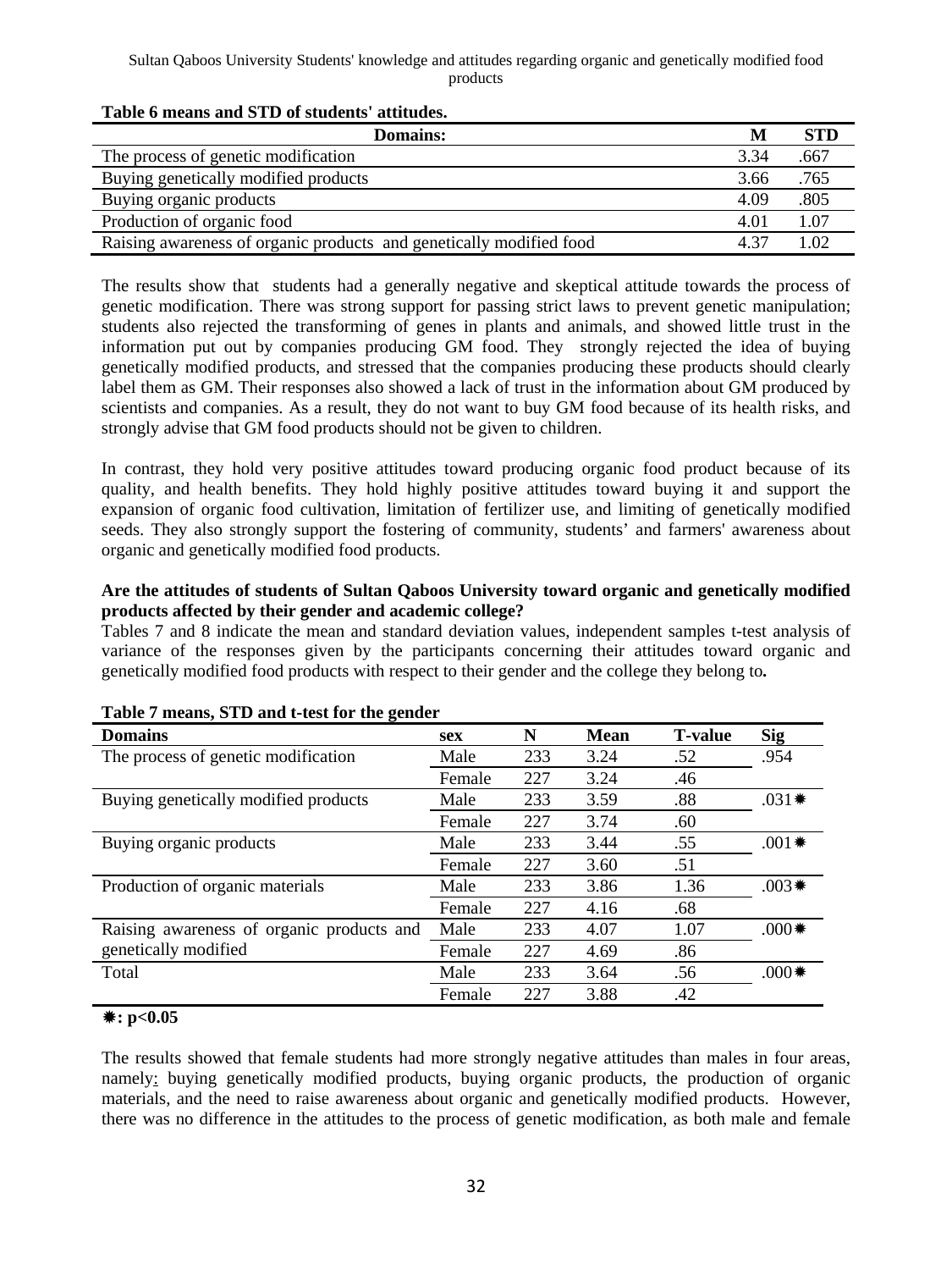#### Sultan Qaboos University Students' knowledge and attitudes regarding organic and genetically modified food products

| <b>Domains:</b>                                                     |      | <b>STD</b> |
|---------------------------------------------------------------------|------|------------|
| The process of genetic modification                                 | 3.34 | .667       |
| Buying genetically modified products                                | 3.66 | .765       |
| Buying organic products                                             | 4.09 | .805       |
| Production of organic food                                          | 4.01 | 1.07       |
| Raising awareness of organic products and genetically modified food |      | 1.02       |

#### **Table 6 means and STD of students' attitudes.**

The results show that students had a generally negative and skeptical attitude towards the process of genetic modification. There was strong support for passing strict laws to prevent genetic manipulation; students also rejected the transforming of genes in plants and animals, and showed little trust in the information put out by companies producing GM food. They strongly rejected the idea of buying genetically modified products, and stressed that the companies producing these products should clearly label them as GM. Their responses also showed a lack of trust in the information about GM produced by scientists and companies. As a result, they do not want to buy GM food because of its health risks, and strongly advise that GM food products should not be given to children.

In contrast, they hold very positive attitudes toward producing organic food product because of its quality, and health benefits. They hold highly positive attitudes toward buying it and support the expansion of organic food cultivation, limitation of fertilizer use, and limiting of genetically modified seeds. They also strongly support the fostering of community, students' and farmers' awareness about organic and genetically modified food products.

### **Are the attitudes of students of Sultan Qaboos University toward organic and genetically modified products affected by their gender and academic college?**

Tables 7 and 8 indicate the mean and standard deviation values, independent samples t-test analysis of variance of the responses given by the participants concerning their attitudes toward organic and genetically modified food products with respect to their gender and the college they belong to**.** 

| <b>Domains</b>                            | <b>sex</b> | N   | <b>Mean</b> | <b>T-value</b> | <b>Sig</b> |
|-------------------------------------------|------------|-----|-------------|----------------|------------|
| The process of genetic modification       | Male       | 233 | 3.24        | .52            | .954       |
|                                           | Female     | 227 | 3.24        | .46            |            |
| Buying genetically modified products      | Male       | 233 | 3.59        | .88            | $.031*$    |
|                                           | Female     | 227 | 3.74        | .60            |            |
| Buying organic products                   | Male       | 233 | 3.44        | .55            | $.001*$    |
|                                           | Female     | 227 | 3.60        | .51            |            |
| Production of organic materials           | Male       | 233 | 3.86        | 1.36           | $.003*$    |
|                                           | Female     | 227 | 4.16        | .68            |            |
| Raising awareness of organic products and | Male       | 233 | 4.07        | 1.07           | $*000.$    |
| genetically modified                      | Female     | 227 | 4.69        | .86            |            |
| Total                                     | Male       | 233 | 3.64        | .56            | $000$ *    |
|                                           | Female     | 227 | 3.88        | .42            |            |

### **Table 7 means, STD and t-test for the gender**

### **: p<0.05**

The results showed that female students had more strongly negative attitudes than males in four areas, namely: buying genetically modified products, buying organic products, the production of organic materials, and the need to raise awareness about organic and genetically modified products. However, there was no difference in the attitudes to the process of genetic modification, as both male and female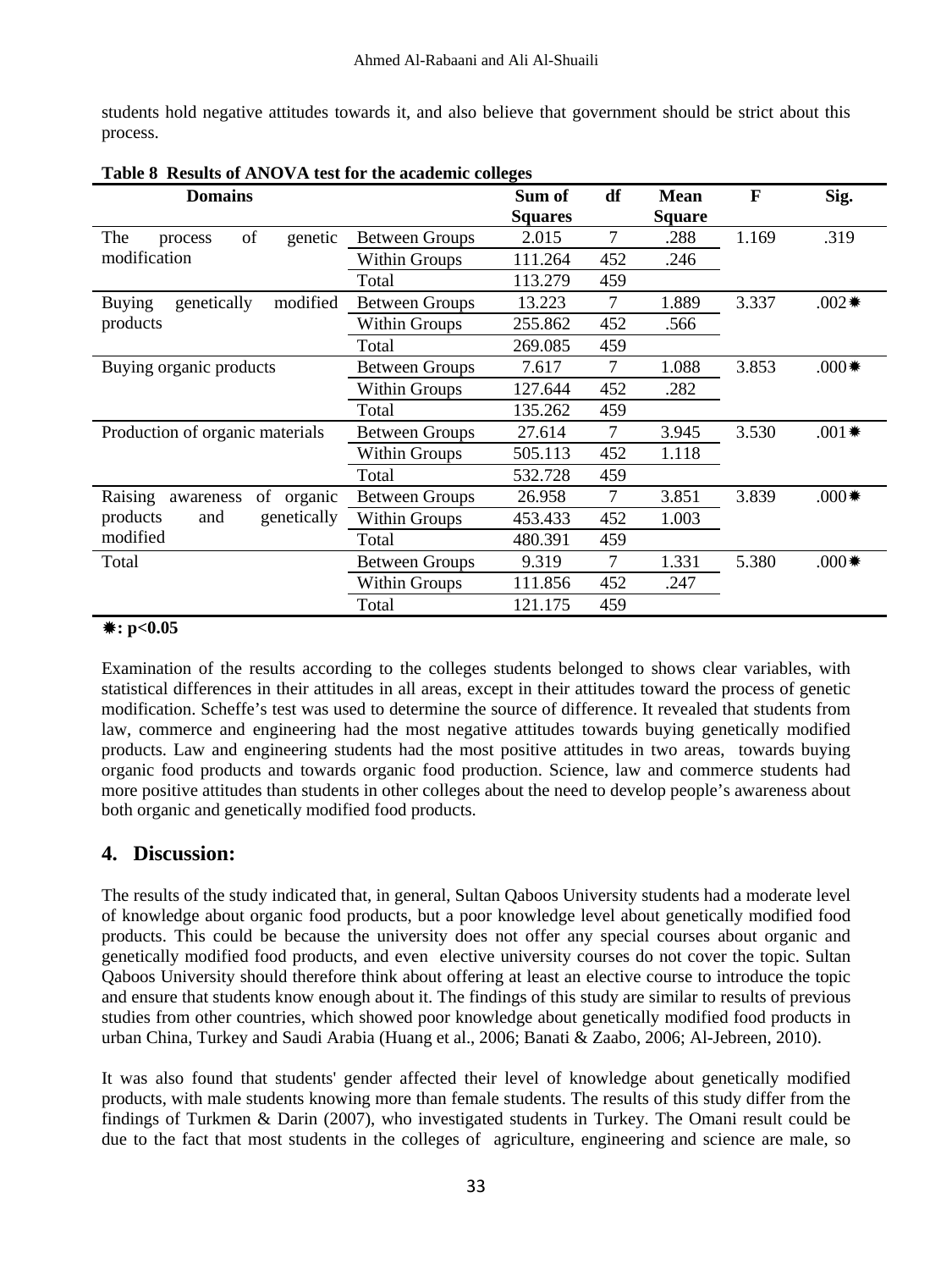students hold negative attitudes towards it, and also believe that government should be strict about this process.

| <b>Domains</b>                        |                       | Sum of         | df  | <b>Mean</b>   | F     | Sig.    |
|---------------------------------------|-----------------------|----------------|-----|---------------|-------|---------|
|                                       |                       | <b>Squares</b> |     | <b>Square</b> |       |         |
| of<br>The<br>genetic<br>process       | <b>Between Groups</b> | 2.015          | 7   | .288          | 1.169 | .319    |
| modification                          | Within Groups         | 111.264        | 452 | .246          |       |         |
|                                       | Total                 | 113.279        | 459 |               |       |         |
| genetically<br>modified<br>Buying     | <b>Between Groups</b> | 13.223         | 7   | 1.889         | 3.337 | $.002*$ |
| products                              | Within Groups         | 255.862        | 452 | .566          |       |         |
|                                       | Total                 | 269.085        | 459 |               |       |         |
| Buying organic products               | Between Groups        | 7.617          | 7   | 1.088         | 3.853 | $*000.$ |
|                                       | Within Groups         | 127.644        | 452 | .282          |       |         |
|                                       | Total                 | 135.262        | 459 |               |       |         |
| Production of organic materials       | <b>Between Groups</b> | 27.614         | 7   | 3.945         | 3.530 | $.001*$ |
|                                       | Within Groups         | 505.113        | 452 | 1.118         |       |         |
|                                       | Total                 | 532.728        | 459 |               |       |         |
| Raising<br>of<br>organic<br>awareness | Between Groups        | 26.958         | 7   | 3.851         | 3.839 | $*000.$ |
| products<br>genetically<br>and        | Within Groups         | 453.433        | 452 | 1.003         |       |         |
| modified                              | Total                 | 480.391        | 459 |               |       |         |
| Total                                 | <b>Between Groups</b> | 9.319          | 7   | 1.331         | 5.380 | $*000.$ |
|                                       | Within Groups         | 111.856        | 452 | .247          |       |         |
|                                       | Total                 | 121.175        | 459 |               |       |         |

**Table 8 Results of ANOVA test for the academic colleges** 

### **: p<0.05**

Examination of the results according to the colleges students belonged to shows clear variables, with statistical differences in their attitudes in all areas, except in their attitudes toward the process of genetic modification. Scheffe's test was used to determine the source of difference. It revealed that students from law, commerce and engineering had the most negative attitudes towards buying genetically modified products. Law and engineering students had the most positive attitudes in two areas, towards buying organic food products and towards organic food production. Science, law and commerce students had more positive attitudes than students in other colleges about the need to develop people's awareness about both organic and genetically modified food products.

# **4. Discussion:**

The results of the study indicated that, in general, Sultan Qaboos University students had a moderate level of knowledge about organic food products, but a poor knowledge level about genetically modified food products. This could be because the university does not offer any special courses about organic and genetically modified food products, and even elective university courses do not cover the topic. Sultan Qaboos University should therefore think about offering at least an elective course to introduce the topic and ensure that students know enough about it. The findings of this study are similar to results of previous studies from other countries, which showed poor knowledge about genetically modified food products in urban China, Turkey and Saudi Arabia (Huang et al., 2006; Banati & Zaabo, 2006; Al-Jebreen, 2010).

It was also found that students' gender affected their level of knowledge about genetically modified products, with male students knowing more than female students. The results of this study differ from the findings of Turkmen & Darin (2007), who investigated students in Turkey. The Omani result could be due to the fact that most students in the colleges of agriculture, engineering and science are male, so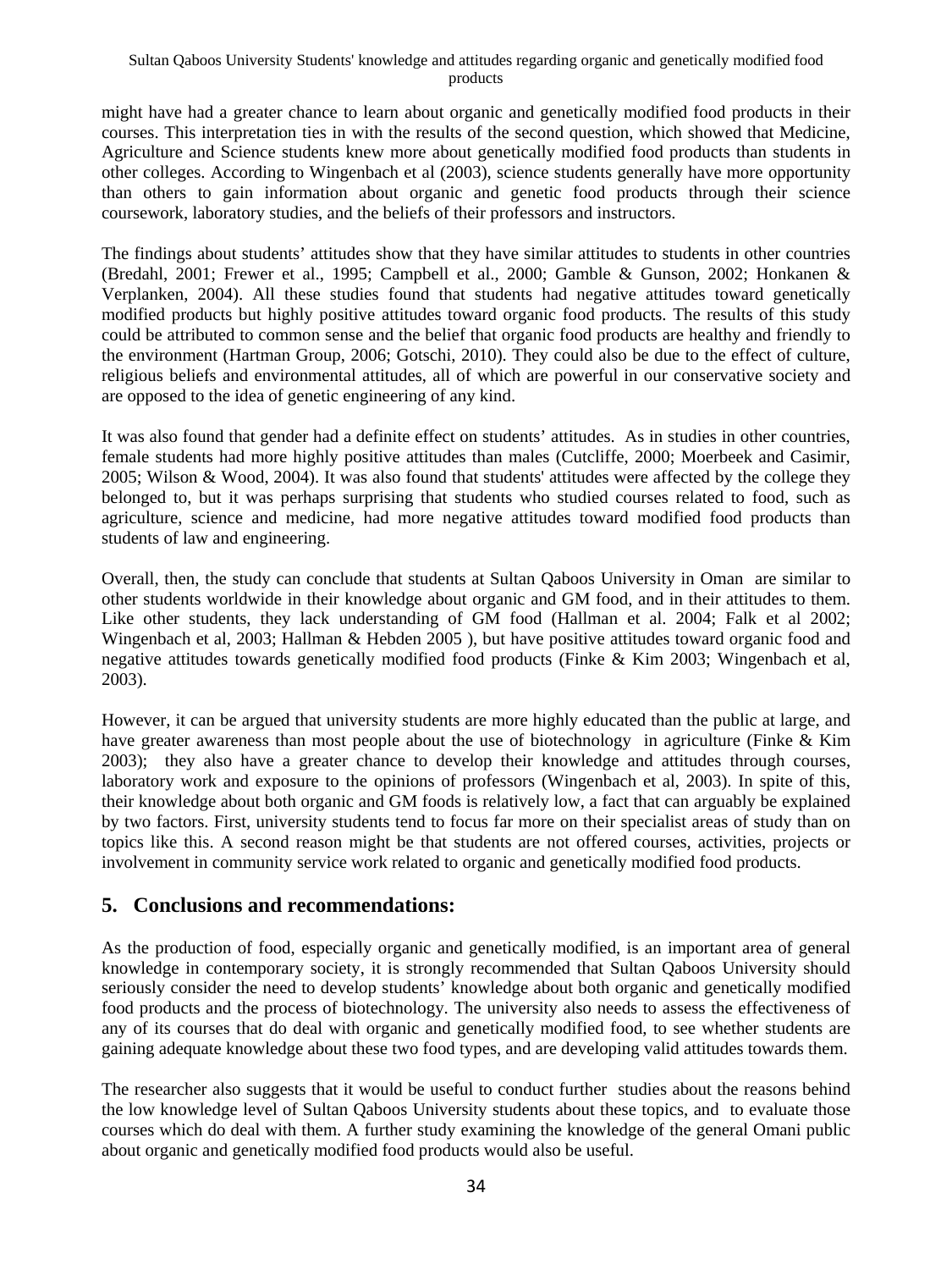might have had a greater chance to learn about organic and genetically modified food products in their courses. This interpretation ties in with the results of the second question, which showed that Medicine, Agriculture and Science students knew more about genetically modified food products than students in other colleges. According to Wingenbach et al (2003), science students generally have more opportunity than others to gain information about organic and genetic food products through their science coursework, laboratory studies, and the beliefs of their professors and instructors.

The findings about students' attitudes show that they have similar attitudes to students in other countries (Bredahl, 2001; Frewer et al., 1995; Campbell et al., 2000; Gamble & Gunson, 2002; Honkanen & Verplanken, 2004). All these studies found that students had negative attitudes toward genetically modified products but highly positive attitudes toward organic food products. The results of this study could be attributed to common sense and the belief that organic food products are healthy and friendly to the environment (Hartman Group, 2006; Gotschi, 2010). They could also be due to the effect of culture, religious beliefs and environmental attitudes, all of which are powerful in our conservative society and are opposed to the idea of genetic engineering of any kind.

It was also found that gender had a definite effect on students' attitudes. As in studies in other countries, female students had more highly positive attitudes than males (Cutcliffe, 2000; Moerbeek and Casimir, 2005; Wilson & Wood, 2004). It was also found that students' attitudes were affected by the college they belonged to, but it was perhaps surprising that students who studied courses related to food, such as agriculture, science and medicine, had more negative attitudes toward modified food products than students of law and engineering.

Overall, then, the study can conclude that students at Sultan Qaboos University in Oman are similar to other students worldwide in their knowledge about organic and GM food, and in their attitudes to them. Like other students, they lack understanding of GM food (Hallman et al. 2004; Falk et al 2002; Wingenbach et al, 2003; Hallman & Hebden 2005 ), but have positive attitudes toward organic food and negative attitudes towards genetically modified food products (Finke & Kim 2003; Wingenbach et al, 2003).

However, it can be argued that university students are more highly educated than the public at large, and have greater awareness than most people about the use of biotechnology in agriculture (Finke & Kim 2003); they also have a greater chance to develop their knowledge and attitudes through courses, laboratory work and exposure to the opinions of professors (Wingenbach et al, 2003). In spite of this, their knowledge about both organic and GM foods is relatively low, a fact that can arguably be explained by two factors. First, university students tend to focus far more on their specialist areas of study than on topics like this. A second reason might be that students are not offered courses, activities, projects or involvement in community service work related to organic and genetically modified food products.

# **5. Conclusions and recommendations:**

As the production of food, especially organic and genetically modified, is an important area of general knowledge in contemporary society, it is strongly recommended that Sultan Qaboos University should seriously consider the need to develop students' knowledge about both organic and genetically modified food products and the process of biotechnology. The university also needs to assess the effectiveness of any of its courses that do deal with organic and genetically modified food, to see whether students are gaining adequate knowledge about these two food types, and are developing valid attitudes towards them.

The researcher also suggests that it would be useful to conduct further studies about the reasons behind the low knowledge level of Sultan Qaboos University students about these topics, and to evaluate those courses which do deal with them. A further study examining the knowledge of the general Omani public about organic and genetically modified food products would also be useful.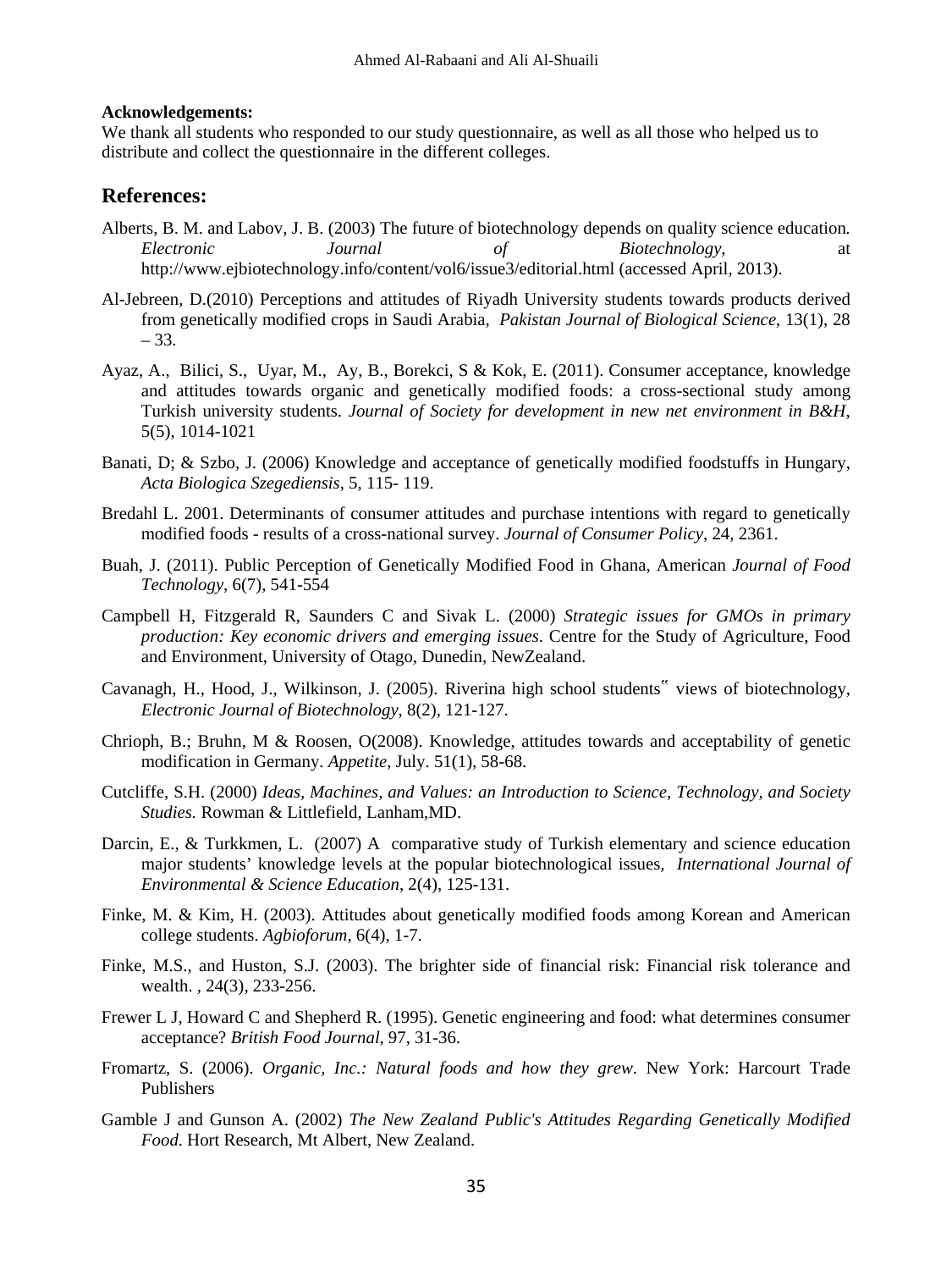#### **Acknowledgements:**

We thank all students who responded to our study questionnaire, as well as all those who helped us to distribute and collect the questionnaire in the different colleges.

### **References:**

- Alberts, B. M. and Labov, J. B. (2003) The future of biotechnology depends on quality science education*. Electronic Journal of Biotechnology*, at http://www.ejbiotechnology.info/content/vol6/issue3/editorial.html (accessed April, 2013).
- Al-Jebreen, D.(2010) Perceptions and attitudes of Riyadh University students towards products derived from genetically modified crops in Saudi Arabia, *Pakistan Journal of Biological Science*, 13(1), 28 – 33.
- Ayaz, A., Bilici, S., Uyar, M., Ay, B., Borekci, S & Kok, E. (2011). Consumer acceptance, knowledge and attitudes towards organic and genetically modified foods: a cross-sectional study among Turkish university students. *Journal of Society for development in new net environment in B&H*, 5(5), 1014-1021
- Banati, D; & Szbo, J. (2006) Knowledge and acceptance of genetically modified foodstuffs in Hungary, *Acta Biologica Szegediensis*, 5, 115- 119.
- Bredahl L. 2001. Determinants of consumer attitudes and purchase intentions with regard to genetically modified foods - results of a cross-national survey. *Journal of Consumer Policy*, 24, 2361.
- Buah, J. (2011). Public Perception of Genetically Modified Food in Ghana, American *Journal of Food Technology*, 6(7), 541-554
- Campbell H, Fitzgerald R, Saunders C and Sivak L. (2000) *Strategic issues for GMOs in primary production: Key economic drivers and emerging issues*. Centre for the Study of Agriculture, Food and Environment, University of Otago, Dunedin, NewZealand.
- Cavanagh, H., Hood, J., Wilkinson, J. (2005). Riverina high school students" views of biotechnology, *Electronic Journal of Biotechnology*, 8(2), 121-127.
- Chrioph, B.; Bruhn, M & Roosen, O(2008). Knowledge, attitudes towards and acceptability of genetic modification in Germany. *Appetite*, July. 51(1), 58-68.
- Cutcliffe, S.H. (2000) *Ideas, Machines, and Values: an Introduction to Science, Technology, and Society Studies.* Rowman & Littlefield, Lanham,MD.
- Darcin, E., & Turkkmen, L. (2007) A comparative study of Turkish elementary and science education major students' knowledge levels at the popular biotechnological issues*, International Journal of Environmental & Science Education*, 2(4), 125-131.
- Finke, M. & Kim, H. (2003). Attitudes about genetically modified foods among Korean and American college students. *Agbioforum*, 6(4), 1-7.
- Finke, M.S., and Huston, S.J. (2003). The brighter side of financial risk: Financial risk tolerance and wealth. *,* 24(3), 233-256.
- Frewer L J, Howard C and Shepherd R. (1995). Genetic engineering and food: what determines consumer acceptance? *British Food Journal*, 97, 31-36.
- Fromartz, S. (2006). *Organic, Inc.: Natural foods and how they grew*. New York: Harcourt Trade Publishers
- Gamble J and Gunson A. (2002) *The New Zealand Public's Attitudes Regarding Genetically Modified Food*. Hort Research, Mt Albert, New Zealand.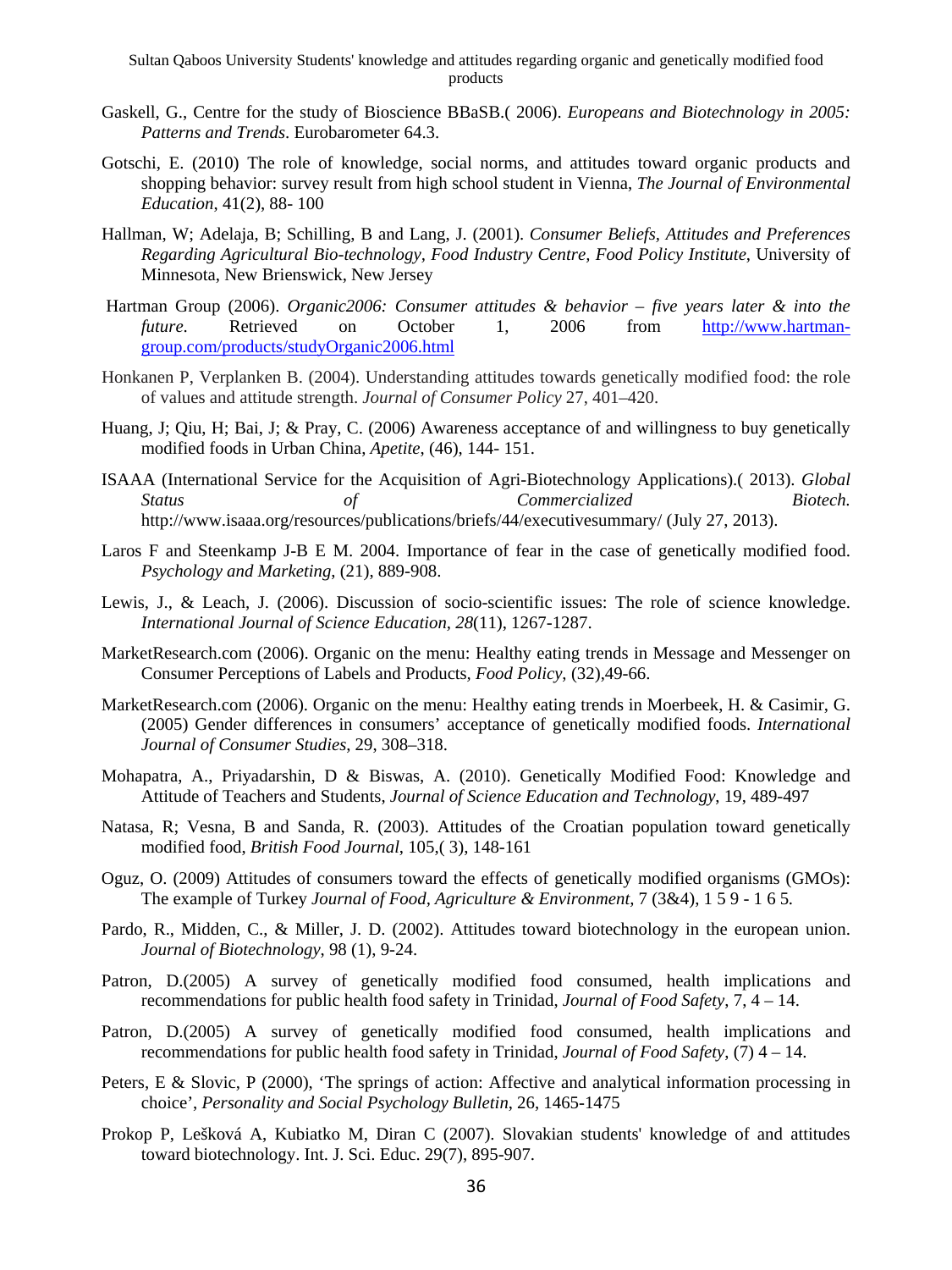- Gaskell, G., Centre for the study of Bioscience BBaSB.( 2006). *Europeans and Biotechnology in 2005: Patterns and Trends*. Eurobarometer 64.3.
- Gotschi, E. (2010) The role of knowledge, social norms, and attitudes toward organic products and shopping behavior: survey result from high school student in Vienna, *The Journal of Environmental Education*, 41(2), 88- 100
- Hallman, W; Adelaja, B; Schilling, B and Lang, J. (2001). *Consumer Beliefs, Attitudes and Preferences Regarding Agricultural Bio-technology, Food Industry Centre, Food Policy Institute*, University of Minnesota, New Brienswick, New Jersey
- Hartman Group (2006). *Organic2006: Consumer attitudes & behavior five years later & into the future*. Retrieved on October 1, 2006 from http://www.hartmangroup.com/products/studyOrganic2006.html
- Honkanen P, Verplanken B. (2004). Understanding attitudes towards genetically modified food: the role of values and attitude strength. *Journal of Consumer Policy* 27, 401–420.
- Huang, J; Qiu, H; Bai, J; & Pray, C. (2006) Awareness acceptance of and willingness to buy genetically modified foods in Urban China, *Apetite*, (46), 144- 151.
- ISAAA (International Service for the Acquisition of Agri-Biotechnology Applications).( 2013). *Global Status of Commercialized Biotech.*  http://www.isaaa.org/resources/publications/briefs/44/executivesummary/ (July 27, 2013).
- Laros F and Steenkamp J-B E M. 2004. Importance of fear in the case of genetically modified food. *Psychology and Marketing*, (21), 889-908.
- Lewis, J., & Leach, J. (2006). Discussion of socio-scientific issues: The role of science knowledge. *International Journal of Science Education, 28*(11), 1267-1287.
- MarketResearch.com (2006). Organic on the menu: Healthy eating trends in Message and Messenger on Consumer Perceptions of Labels and Products*, Food Policy*, (32),49-66.
- MarketResearch.com (2006). Organic on the menu: Healthy eating trends in Moerbeek, H. & Casimir, G. (2005) Gender differences in consumers' acceptance of genetically modified foods. *International Journal of Consumer Studies*, 29, 308–318.
- Mohapatra, A., Priyadarshin, D & Biswas, A. (2010). Genetically Modified Food: Knowledge and Attitude of Teachers and Students, *Journal of Science Education and Technology*, 19, 489-497
- Natasa, R; Vesna, B and Sanda, R. (2003). Attitudes of the Croatian population toward genetically modified food, *British Food Journal*, 105,( 3), 148-161
- Oguz, O. (2009) Attitudes of consumers toward the effects of genetically modified organisms (GMOs): The example of Turkey *Journal of Food, Agriculture & Environment,* 7 (3&4), 1 5 9 - 1 6 5*.*
- Pardo, R., Midden, C., & Miller, J. D. (2002). Attitudes toward biotechnology in the european union. *Journal of Biotechnology*, 98 (1), 9-24.
- Patron, D.(2005) A survey of genetically modified food consumed, health implications and recommendations for public health food safety in Trinidad, *Journal of Food Safety*, 7, 4 – 14.
- Patron, D.(2005) A survey of genetically modified food consumed, health implications and recommendations for public health food safety in Trinidad, *Journal of Food Safety*, (7) 4 – 14.
- Peters, E & Slovic, P (2000), 'The springs of action: Affective and analytical information processing in choice', *Personality and Social Psychology Bulletin*, 26, 1465-1475
- Prokop P, Lešková A, Kubiatko M, Diran C (2007). Slovakian students' knowledge of and attitudes toward biotechnology. Int. J. Sci. Educ. 29(7), 895-907.